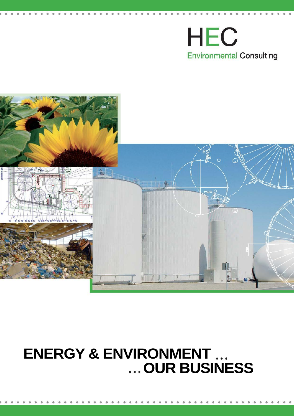# **HEC Environmental Consulting**



## **ENERGY & ENVIRONMENT OUR BUSINESS**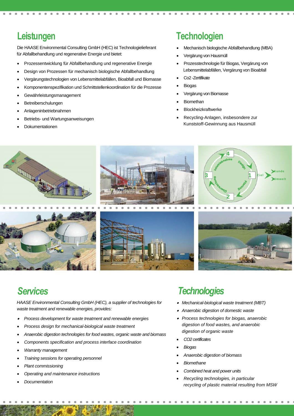## **Leistungen**

Die HAASE Environmental Consulting GmbH (HEC) ist Technologielieferant für Abfallbehandlung und regenerative Energie und bietet:

- Prozessentwicklung für Abfallbehandlung und regenerative Energie
- Design von Prozessen für mechanisch biologische Abfallbehandlung
- Vergärungstechnologien von Lebensmittelabfällen, Bioabfall und Biomasse
- Komponentenspezifikation und Schnittstellenkoordination für die Prozesse
- Gewährleistungsmanagement
- Betreiberschulungen
- Anlageninbetriebnahmen
- Betriebs- und Wartungsanweisungen
- Dokumentationen

#### **Technologien**

- Mechanisch biologische Abfallbehandlung (MBA)
- Vergärung von Hausmüll
- Prozesstechnologie für Biogas, Vergärung von Lebensmittelabfällen, Vergärung von Bioabfall
- Co2 -Zertifikate
- Biogas
	- Vergärung von Biomasse
	- Biomethan
	- Blockheizkraftwerke
- Recycling-Anlagen, insbesondere zur Kunststoff-Gewinnung aus Hausmüll









*HAASE Environmental Consulting GmbH (HEC), a supplier of technologies for waste treatment and renewable energies, provides:*

- . *Process development for waste treatment and renewable energies*
- *Process design for mechanical-biological waste treatment*
- *Anaerobic digestion technologies for food wastes, organic waste and biomass*
- *Components specification and process interface coordination*
- *Warranty management*
- *Training sessions for operating personnel*
- *Plant commissioning*
- *Operating and maintenance instructions*
- *Documentation*

#### *Services Technologies*

- *Mechanical-biological waste treatment (MBT)*
- . *Anaerobic digestion of domestic waste*
- *Process technologies for biogas, anaerobic digestion of food wastes, and anaerobic digestion of organic waste*
- *CO2 certificates*
- *Biogas*
- *Anaerobic digestion of biomass*
- *Biomethane*
- *Combined heat and power units*
- *Recycling technologies, in particular recycling of plastic material resulting from MSW*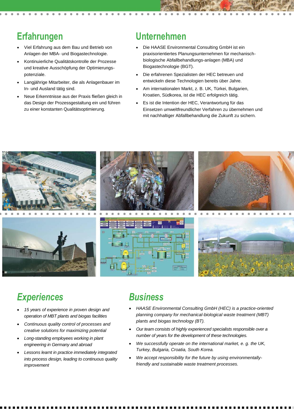## **Erfahrungen**

- Viel Erfahrung aus dem Bau und Betrieb von Anlagen der MBA- und Biogastechnologie.
- Kontinuierliche Qualitätskontrolle der Prozesse und kreative Ausschöpfung der Optimierungspotenziale.
- Langjährige Mitarbeiter, die als Anlagenbauer im In- und Ausland tätig sind.
- Neue Erkenntnisse aus der Praxis fließen gleich in das Design der Prozessgestaltung ein und führen zu einer konstanten Qualitätsoptimierung.

#### **Unternehmen**

- Die HAASE Environmental Consulting GmbH ist ein praxisorientiertes Planungsunternehmen für mechanischbiologische Abfallbehandlungs-anlagen (MBA) und Biogastechnologie (BGT).
- Die erfahrenen Spezialisten der HEC betreuen und entwickeln diese Technologien bereits über Jahre.
- Am internationalen Markt, z. B. UK, Türkei, Bulgarien, Kroatien, Südkorea, ist die HEC erfolgreich tätig.
- Es ist die Intention der HEC, Verantwortung für das Einsetzen umweltfreundlicher Verfahren zu übernehmen und mit nachhaltiger Abfallbehandlung die Zukunft zu sichern.



## *Experiences*

- *15 years of experience in proven design and operation of MBT plants and biogas facilities*
- *Continuous quality control of processes and creative solutions for maximizing potential*
- *Long-standing employees working in plant engineering in Germany and abroad*
- *Lessons learnt in practice immediately integrated into process design, leading to continuous quality improvement*

#### *Business*

- *HAASE Environmental Consulting GmbH (HEC) is a practice-oriented planning company for mechanical-biological waste treatment (MBT) plants and biogas technology (BT).*
- *Our team consists of highly experienced specialists responsible over a number of years for the development of these technologies.*
- *We successfully operate on the international market, e. g. the UK, Turkey, Bulgaria, Croatia, South Korea.*
- *We accept responsibility for the future by using environmentallyfriendly and sustainable waste treatment processes.*